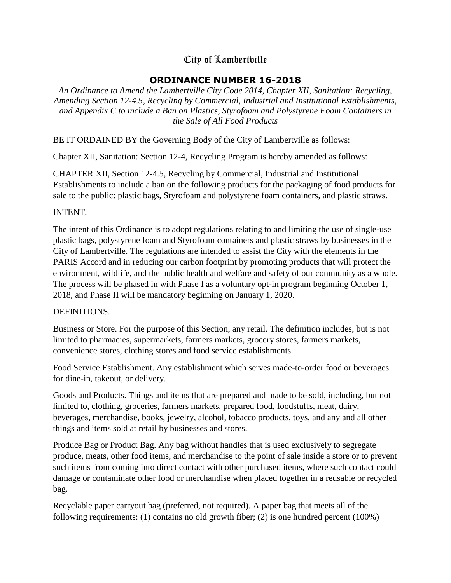# City of Lambertville

# **ORDINANCE NUMBER 16-2018**

*An Ordinance to Amend the Lambertville City Code 2014, Chapter XII, Sanitation: Recycling, Amending Section 12-4.5, Recycling by Commercial, Industrial and Institutional Establishments, and Appendix C to include a Ban on Plastics, Styrofoam and Polystyrene Foam Containers in the Sale of All Food Products*

BE IT ORDAINED BY the Governing Body of the City of Lambertville as follows:

Chapter XII, Sanitation: Section 12-4, Recycling Program is hereby amended as follows:

CHAPTER XII, Section 12-4.5, Recycling by Commercial, Industrial and Institutional Establishments to include a ban on the following products for the packaging of food products for sale to the public: plastic bags, Styrofoam and polystyrene foam containers, and plastic straws.

### INTENT.

The intent of this Ordinance is to adopt regulations relating to and limiting the use of single-use plastic bags, polystyrene foam and Styrofoam containers and plastic straws by businesses in the City of Lambertville. The regulations are intended to assist the City with the elements in the PARIS Accord and in reducing our carbon footprint by promoting products that will protect the environment, wildlife, and the public health and welfare and safety of our community as a whole. The process will be phased in with Phase I as a voluntary opt-in program beginning October 1, 2018, and Phase II will be mandatory beginning on January 1, 2020.

## DEFINITIONS.

Business or Store. For the purpose of this Section, any retail. The definition includes, but is not limited to pharmacies, supermarkets, farmers markets, grocery stores, farmers markets, convenience stores, clothing stores and food service establishments.

Food Service Establishment. Any establishment which serves made-to-order food or beverages for dine-in, takeout, or delivery.

Goods and Products. Things and items that are prepared and made to be sold, including, but not limited to, clothing, groceries, farmers markets, prepared food, foodstuffs, meat, dairy, beverages, merchandise, books, jewelry, alcohol, tobacco products, toys, and any and all other things and items sold at retail by businesses and stores.

Produce Bag or Product Bag. Any bag without handles that is used exclusively to segregate produce, meats, other food items, and merchandise to the point of sale inside a store or to prevent such items from coming into direct contact with other purchased items, where such contact could damage or contaminate other food or merchandise when placed together in a reusable or recycled bag.

Recyclable paper carryout bag (preferred, not required). A paper bag that meets all of the following requirements: (1) contains no old growth fiber; (2) is one hundred percent (100%)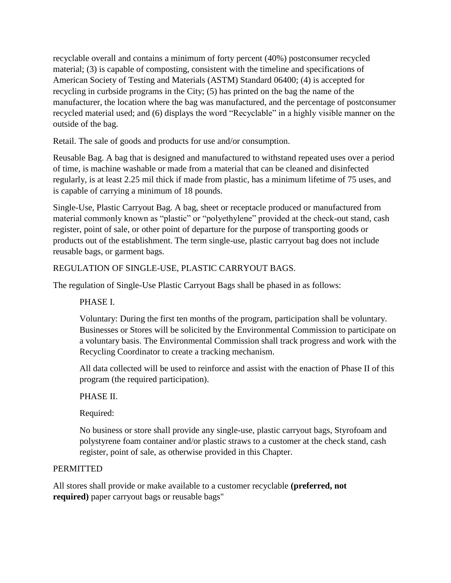recyclable overall and contains a minimum of forty percent (40%) postconsumer recycled material; (3) is capable of composting, consistent with the timeline and specifications of American Society of Testing and Materials (ASTM) Standard 06400; (4) is accepted for recycling in curbside programs in the City; (5) has printed on the bag the name of the manufacturer, the location where the bag was manufactured, and the percentage of postconsumer recycled material used; and (6) displays the word "Recyclable" in a highly visible manner on the outside of the bag.

Retail. The sale of goods and products for use and/or consumption.

Reusable Bag. A bag that is designed and manufactured to withstand repeated uses over a period of time, is machine washable or made from a material that can be cleaned and disinfected regularly, is at least 2.25 mil thick if made from plastic, has a minimum lifetime of 75 uses, and is capable of carrying a minimum of 18 pounds.

Single-Use, Plastic Carryout Bag. A bag, sheet or receptacle produced or manufactured from material commonly known as "plastic" or "polyethylene" provided at the check-out stand, cash register, point of sale, or other point of departure for the purpose of transporting goods or products out of the establishment. The term single-use, plastic carryout bag does not include reusable bags, or garment bags.

# REGULATION OF SINGLE-USE, PLASTIC CARRYOUT BAGS.

The regulation of Single-Use Plastic Carryout Bags shall be phased in as follows:

PHASE I.

Voluntary: During the first ten months of the program, participation shall be voluntary. Businesses or Stores will be solicited by the Environmental Commission to participate on a voluntary basis. The Environmental Commission shall track progress and work with the Recycling Coordinator to create a tracking mechanism.

All data collected will be used to reinforce and assist with the enaction of Phase II of this program (the required participation).

## PHASE II.

Required:

No business or store shall provide any single-use, plastic carryout bags, Styrofoam and polystyrene foam container and/or plastic straws to a customer at the check stand, cash register, point of sale, as otherwise provided in this Chapter.

## PERMITTED

All stores shall provide or make available to a customer recyclable **(preferred, not required)** paper carryout bags or reusable bags"